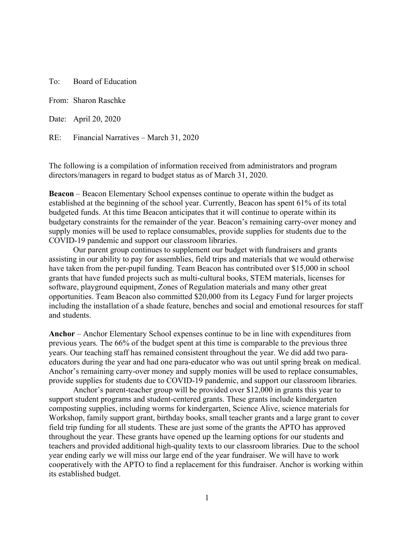To: Board of Education

From: Sharon Raschke

Date: April 20, 2020

RE: Financial Narratives – March 31, 2020

The following is a compilation of information received from administrators and program directors/managers in regard to budget status as of March 31, 2020.

**Beacon** – Beacon Elementary School expenses continue to operate within the budget as established at the beginning of the school year. Currently, Beacon has spent 61% of its total budgeted funds. At this time Beacon anticipates that it will continue to operate within its budgetary constraints for the remainder of the year. Beacon's remaining carry-over money and supply monies will be used to replace consumables, provide supplies for students due to the COVID-19 pandemic and support our classroom libraries.

Our parent group continues to supplement our budget with fundraisers and grants assisting in our ability to pay for assemblies, field trips and materials that we would otherwise have taken from the per-pupil funding. Team Beacon has contributed over \$15,000 in school grants that have funded projects such as multi-cultural books, STEM materials, licenses for software, playground equipment, Zones of Regulation materials and many other great opportunities. Team Beacon also committed \$20,000 from its Legacy Fund for larger projects including the installation of a shade feature, benches and social and emotional resources for staff and students.

**Anchor** – Anchor Elementary School expenses continue to be in line with expenditures from previous years. The 66% of the budget spent at this time is comparable to the previous three years. Our teaching staff has remained consistent throughout the year. We did add two paraeducators during the year and had one para-educator who was out until spring break on medical. Anchor's remaining carry-over money and supply monies will be used to replace consumables, provide supplies for students due to COVID-19 pandemic, and support our classroom libraries.

Anchor's parent-teacher group will be provided over \$12,000 in grants this year to support student programs and student-centered grants. These grants include kindergarten composting supplies, including worms for kindergarten, Science Alive, science materials for Workshop, family support grant, birthday books, small teacher grants and a large grant to cover field trip funding for all students. These are just some of the grants the APTO has approved throughout the year. These grants have opened up the learning options for our students and teachers and provided additional high-quality texts to our classroom libraries. Due to the school year ending early we will miss our large end of the year fundraiser. We will have to work cooperatively with the APTO to find a replacement for this fundraiser. Anchor is working within its established budget.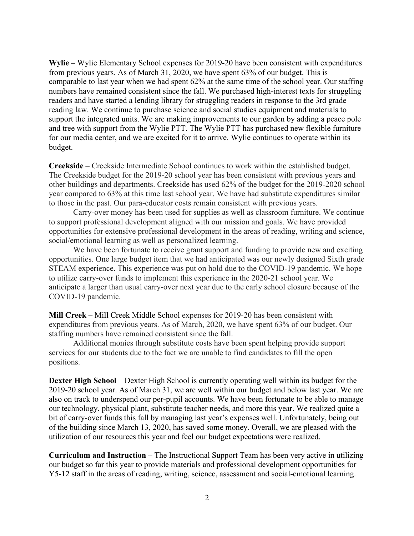**Wylie** – Wylie Elementary School expenses for 2019-20 have been consistent with expenditures from previous years. As of March 31, 2020, we have spent 63% of our budget. This is comparable to last year when we had spent 62% at the same time of the school year. Our staffing numbers have remained consistent since the fall. We purchased high-interest texts for struggling readers and have started a lending library for struggling readers in response to the 3rd grade reading law. We continue to purchase science and social studies equipment and materials to support the integrated units. We are making improvements to our garden by adding a peace pole and tree with support from the Wylie PTT. The Wylie PTT has purchased new flexible furniture for our media center, and we are excited for it to arrive. Wylie continues to operate within its budget.

**Creekside** – Creekside Intermediate School continues to work within the established budget. The Creekside budget for the 2019-20 school year has been consistent with previous years and other buildings and departments. Creekside has used 62% of the budget for the 2019-2020 school year compared to 63% at this time last school year. We have had substitute expenditures similar to those in the past. Our para-educator costs remain consistent with previous years.

Carry-over money has been used for supplies as well as classroom furniture. We continue to support professional development aligned with our mission and goals. We have provided opportunities for extensive professional development in the areas of reading, writing and science, social/emotional learning as well as personalized learning.

We have been fortunate to receive grant support and funding to provide new and exciting opportunities. One large budget item that we had anticipated was our newly designed Sixth grade STEAM experience. This experience was put on hold due to the COVID-19 pandemic. We hope to utilize carry-over funds to implement this experience in the 2020-21 school year. We anticipate a larger than usual carry-over next year due to the early school closure because of the COVID-19 pandemic.

**Mill Creek** – Mill Creek Middle School expenses for 2019-20 has been consistent with expenditures from previous years. As of March, 2020, we have spent 63% of our budget. Our staffing numbers have remained consistent since the fall.

Additional monies through substitute costs have been spent helping provide support services for our students due to the fact we are unable to find candidates to fill the open positions.

**Dexter High School** – Dexter High School is currently operating well within its budget for the 2019-20 school year. As of March 31, we are well within our budget and below last year. We are also on track to underspend our per-pupil accounts. We have been fortunate to be able to manage our technology, physical plant, substitute teacher needs, and more this year. We realized quite a bit of carry-over funds this fall by managing last year's expenses well. Unfortunately, being out of the building since March 13, 2020, has saved some money. Overall, we are pleased with the utilization of our resources this year and feel our budget expectations were realized.

**Curriculum and Instruction** – The Instructional Support Team has been very active in utilizing our budget so far this year to provide materials and professional development opportunities for Y5-12 staff in the areas of reading, writing, science, assessment and social-emotional learning.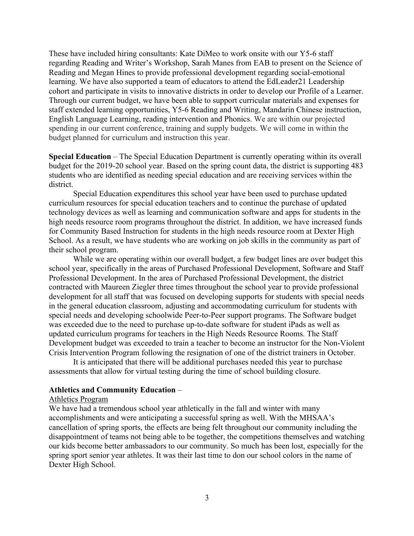These have included hiring consultants: Kate DiMeo to work onsite with our Y5-6 staff regarding Reading and Writer's Workshop, Sarah Manes from EAB to present on the Science of Reading and Megan Hines to provide professional development regarding social-emotional learning. We have also supported a team of educators to attend the EdLeader21 Leadership cohort and participate in visits to innovative districts in order to develop our Profile of a Learner. Through our current budget, we have been able to support curricular materials and expenses for staff extended learning opportunities, Y5-6 Reading and Writing, Mandarin Chinese instruction, English Language Learning, reading intervention and Phonics. We are within our projected spending in our current conference, training and supply budgets. We will come in within the budget planned for curriculum and instruction this year.

**Special Education** – The Special Education Department is currently operating within its overall budget for the 2019-20 school year. Based on the spring count data, the district is supporting 483 students who are identified as needing special education and are receiving services within the district.

Special Education expenditures this school year have been used to purchase updated curriculum resources for special education teachers and to continue the purchase of updated technology devices as well as learning and communication software and apps for students in the high needs resource room programs throughout the district. In addition, we have increased funds for Community Based Instruction for students in the high needs resource room at Dexter High School. As a result, we have students who are working on job skills in the community as part of their school program.

While we are operating within our overall budget, a few budget lines are over budget this school year, specifically in the areas of Purchased Professional Development, Software and Staff Professional Development. In the area of Purchased Professional Development, the district contracted with Maureen Ziegler three times throughout the school year to provide professional development for all staff that was focused on developing supports for students with special needs in the general education classroom, adjusting and accommodating curriculum for students with special needs and developing schoolwide Peer-to-Peer support programs. The Software budget was exceeded due to the need to purchase up-to-date software for student iPads as well as updated curriculum programs for teachers in the High Needs Resource Rooms. The Staff Development budget was exceeded to train a teacher to become an instructor for the Non-Violent Crisis Intervention Program following the resignation of one of the district trainers in October.

It is anticipated that there will be additional purchases needed this year to purchase assessments that allow for virtual testing during the time of school building closure.

## **Athletics and Community Education** –

## Athletics Program

We have had a tremendous school year athletically in the fall and winter with many accomplishments and were anticipating a successful spring as well. With the MHSAA's cancellation of spring sports, the effects are being felt throughout our community including the disappointment of teams not being able to be together, the competitions themselves and watching our kids become better ambassadors to our community. So much has been lost, especially for the spring sport senior year athletes. It was their last time to don our school colors in the name of Dexter High School.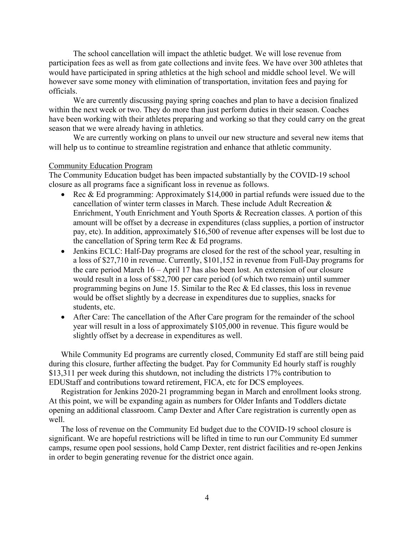The school cancellation will impact the athletic budget. We will lose revenue from participation fees as well as from gate collections and invite fees. We have over 300 athletes that would have participated in spring athletics at the high school and middle school level. We will however save some money with elimination of transportation, invitation fees and paying for officials.

We are currently discussing paying spring coaches and plan to have a decision finalized within the next week or two. They do more than just perform duties in their season. Coaches have been working with their athletes preparing and working so that they could carry on the great season that we were already having in athletics.

We are currently working on plans to unveil our new structure and several new items that will help us to continue to streamline registration and enhance that athletic community.

## Community Education Program

The Community Education budget has been impacted substantially by the COVID-19 school closure as all programs face a significant loss in revenue as follows.

- Rec & Ed programming: Approximately \$14,000 in partial refunds were issued due to the cancellation of winter term classes in March. These include Adult Recreation & Enrichment, Youth Enrichment and Youth Sports & Recreation classes. A portion of this amount will be offset by a decrease in expenditures (class supplies, a portion of instructor pay, etc). In addition, approximately \$16,500 of revenue after expenses will be lost due to the cancellation of Spring term Rec & Ed programs.
- Jenkins ECLC: Half-Day programs are closed for the rest of the school year, resulting in a loss of \$27,710 in revenue. Currently, \$101,152 in revenue from Full-Day programs for the care period March 16 – April 17 has also been lost. An extension of our closure would result in a loss of \$82,700 per care period (of which two remain) until summer programming begins on June 15. Similar to the Rec & Ed classes, this loss in revenue would be offset slightly by a decrease in expenditures due to supplies, snacks for students, etc.
- After Care: The cancellation of the After Care program for the remainder of the school year will result in a loss of approximately \$105,000 in revenue. This figure would be slightly offset by a decrease in expenditures as well.

While Community Ed programs are currently closed, Community Ed staff are still being paid during this closure, further affecting the budget. Pay for Community Ed hourly staff is roughly \$13,311 per week during this shutdown, not including the districts 17% contribution to EDUStaff and contributions toward retirement, FICA, etc for DCS employees.

Registration for Jenkins 2020-21 programming began in March and enrollment looks strong. At this point, we will be expanding again as numbers for Older Infants and Toddlers dictate opening an additional classroom. Camp Dexter and After Care registration is currently open as well.

The loss of revenue on the Community Ed budget due to the COVID-19 school closure is significant. We are hopeful restrictions will be lifted in time to run our Community Ed summer camps, resume open pool sessions, hold Camp Dexter, rent district facilities and re-open Jenkins in order to begin generating revenue for the district once again.